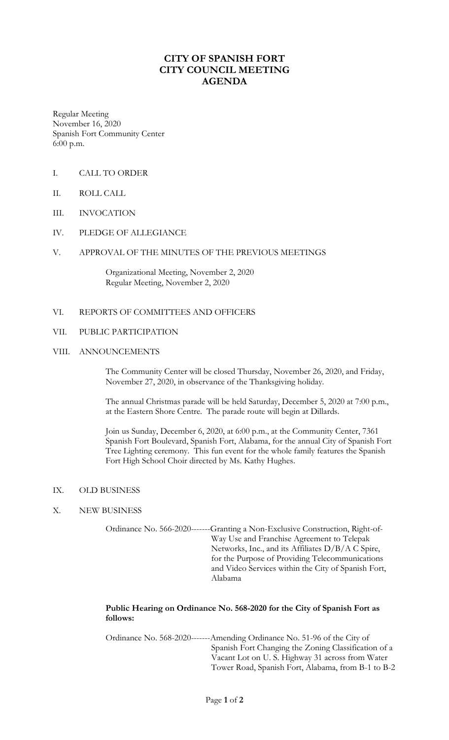# **CITY OF SPANISH FORT CITY COUNCIL MEETING AGENDA**

Regular Meeting November 16, 2020 Spanish Fort Community Center 6:00 p.m.

- I. CALL TO ORDER
- II. ROLL CALL
- III. INVOCATION
- IV. PLEDGE OF ALLEGIANCE
- V. APPROVAL OF THE MINUTES OF THE PREVIOUS MEETINGS

Organizational Meeting, November 2, 2020 Regular Meeting, November 2, 2020

## VI. REPORTS OF COMMITTEES AND OFFICERS

#### VII. PUBLIC PARTICIPATION

#### VIII. ANNOUNCEMENTS

The Community Center will be closed Thursday, November 26, 2020, and Friday, November 27, 2020, in observance of the Thanksgiving holiday.

The annual Christmas parade will be held Saturday, December 5, 2020 at 7:00 p.m., at the Eastern Shore Centre. The parade route will begin at Dillards.

Join us Sunday, December 6, 2020, at 6:00 p.m., at the Community Center, 7361 Spanish Fort Boulevard, Spanish Fort, Alabama, for the annual City of Spanish Fort Tree Lighting ceremony. This fun event for the whole family features the Spanish Fort High School Choir directed by Ms. Kathy Hughes.

- IX. OLD BUSINESS
- X. NEW BUSINESS

Ordinance No. 566-2020-------Granting a Non-Exclusive Construction, Right-of-Way Use and Franchise Agreement to Telepak Networks, Inc., and its Affiliates D/B/A C Spire, for the Purpose of Providing Telecommunications and Video Services within the City of Spanish Fort, Alabama

## **Public Hearing on Ordinance No. 568-2020 for the City of Spanish Fort as follows:**

Ordinance No. 568-2020-------Amending Ordinance No. 51-96 of the City of Spanish Fort Changing the Zoning Classification of a Vacant Lot on U. S. Highway 31 across from Water Tower Road, Spanish Fort, Alabama, from B-1 to B-2